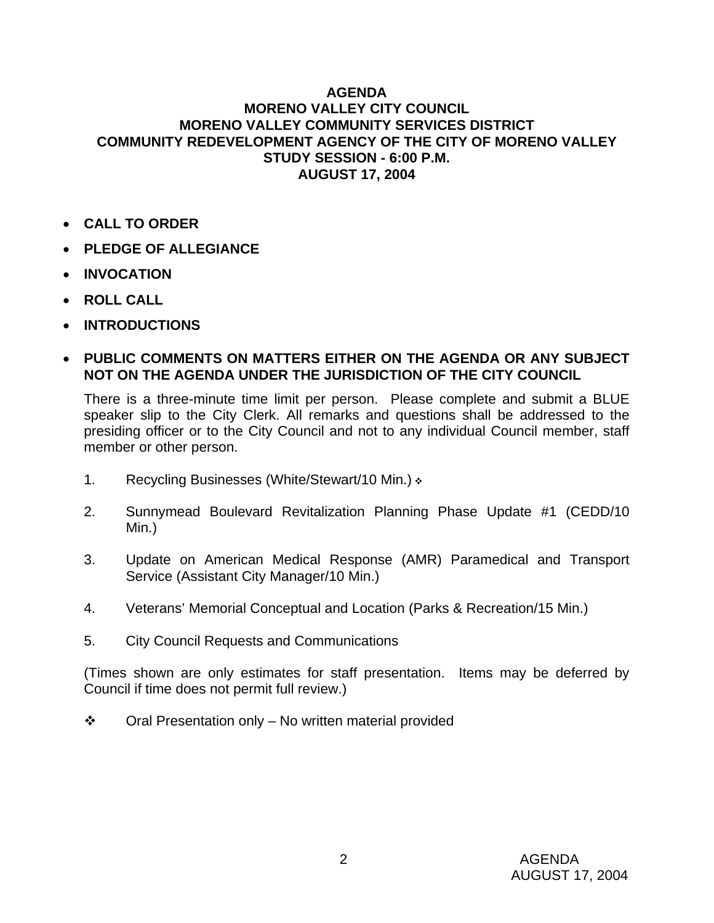## **AGENDA MORENO VALLEY CITY COUNCIL MORENO VALLEY COMMUNITY SERVICES DISTRICT COMMUNITY REDEVELOPMENT AGENCY OF THE CITY OF MORENO VALLEY STUDY SESSION - 6:00 P.M. AUGUST 17, 2004**

- **CALL TO ORDER**
- **PLEDGE OF ALLEGIANCE**
- **INVOCATION**
- **ROLL CALL**
- **INTRODUCTIONS**

## • **PUBLIC COMMENTS ON MATTERS EITHER ON THE AGENDA OR ANY SUBJECT NOT ON THE AGENDA UNDER THE JURISDICTION OF THE CITY COUNCIL**

There is a three-minute time limit per person. Please complete and submit a BLUE speaker slip to the City Clerk. All remarks and questions shall be addressed to the presiding officer or to the City Council and not to any individual Council member, staff member or other person.

- 1. Recycling Businesses (White/Stewart/10 Min.)  $\cdot$
- 2. Sunnymead Boulevard Revitalization Planning Phase Update #1 (CEDD/10 Min.)
- 3. Update on American Medical Response (AMR) Paramedical and Transport Service (Assistant City Manager/10 Min.)
- 4. Veterans' Memorial Conceptual and Location (Parks & Recreation/15 Min.)
- 5. City Council Requests and Communications

(Times shown are only estimates for staff presentation. Items may be deferred by Council if time does not permit full review.)

 $\cdot \cdot$  Oral Presentation only – No written material provided